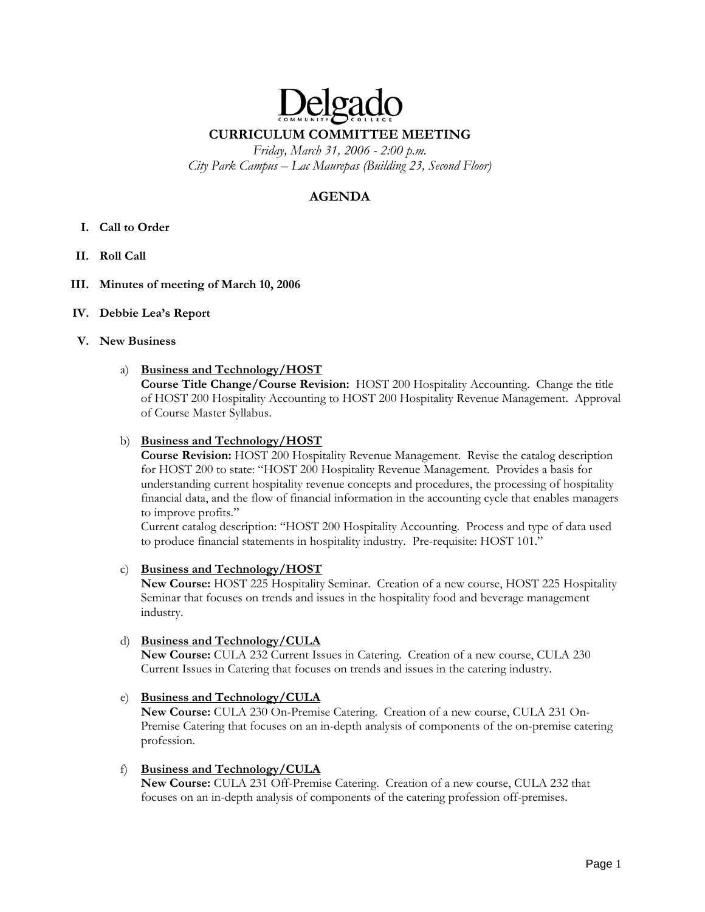# Delga **CURRICULUM COMMITTEE MEETING**

*Friday, March 31, 2006 - 2:00 p.m. City Park Campus – Lac Maurepas (Building 23, Second Floor)* 

# **AGENDA**

- **I. Call to Order**
- **II. Roll Call**
- **III. Minutes of meeting of March 10, 2006**
- **IV. Debbie Lea's Report**

## **V. New Business**

## a) **Business and Technology/HOST**

**Course Title Change/Course Revision:** HOST 200 Hospitality Accounting. Change the title of HOST 200 Hospitality Accounting to HOST 200 Hospitality Revenue Management. Approval of Course Master Syllabus.

## b) **Business and Technology/HOST**

**Course Revision:** HOST 200 Hospitality Revenue Management. Revise the catalog description for HOST 200 to state: "HOST 200 Hospitality Revenue Management. Provides a basis for understanding current hospitality revenue concepts and procedures, the processing of hospitality financial data, and the flow of financial information in the accounting cycle that enables managers to improve profits."

Current catalog description: "HOST 200 Hospitality Accounting. Process and type of data used to produce financial statements in hospitality industry. Pre-requisite: HOST 101."

#### c) **Business and Technology/HOST**

**New Course:** HOST 225 Hospitality Seminar. Creation of a new course, HOST 225 Hospitality Seminar that focuses on trends and issues in the hospitality food and beverage management industry.

#### d) **Business and Technology/CULA**

**New Course:** CULA 232 Current Issues in Catering. Creation of a new course, CULA 230 Current Issues in Catering that focuses on trends and issues in the catering industry.

# e) **Business and Technology/CULA**

**New Course:** CULA 230 On-Premise Catering. Creation of a new course, CULA 231 On-Premise Catering that focuses on an in-depth analysis of components of the on-premise catering profession.

#### f) **Business and Technology/CULA**

**New Course:** CULA 231 Off-Premise Catering. Creation of a new course, CULA 232 that focuses on an in-depth analysis of components of the catering profession off-premises.